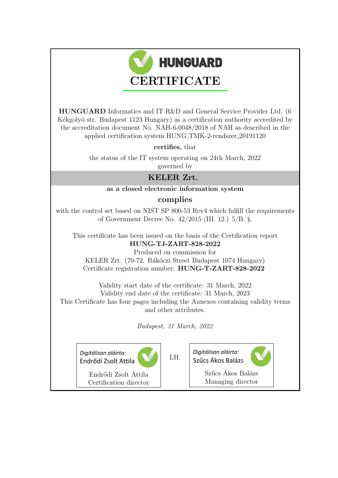

HUNGUARD Informatics and IT R&D and General Service Provider Ltd. (6 Kékgolyó str. Budapest 1123 Hungary) as a certification authority accredited by the accreditation document No. NAH-6-0048/2018 of NAH as described in the applied certification system HUNG TMK-2-rendszer 20191120

certifies, that

the status of the IT system operating on 24th March, 2022 governed by

## KELER Zrt.

### as a closed electronic information system

### complies

with the control set based on NIST SP 800-53 Rev4 which fulfill the requirements of Government Decree No. 42/2015 (III. 12.) 5/B. §.

This certificate has been issued on the basis of the Certification report HUNG-TJ-ZART-828-2022

Produced on commission for KELER Zrt. (70-72. Rákóczi Street Budapest 1074 Hungary) Certificate registration number: HUNG-T-ZART-828-2022

Validity start date of the certificate: 31 March, 2022 Validity end date of the certificate: 31 March, 2023 This Certificate has four pages including the Annexes containing validity terms and other attributes.

Budapest, 31 March, 2022

Diaitálisan aláírta: Endrődi Zsolt Attila

LH.

Endrődi Zsolt Attila Certification director Diaitálisan aláírta: Szűcs Ákos Balázs



Szűcs Ákos Balázs Managing director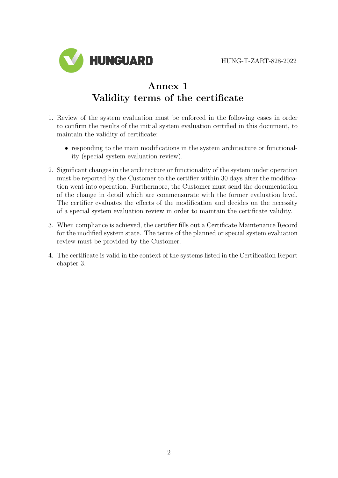

# Annex 1 Validity terms of the certificate

- 1. Review of the system evaluation must be enforced in the following cases in order to confirm the results of the initial system evaluation certified in this document, to maintain the validity of certificate:
	- responding to the main modifications in the system architecture or functionality (special system evaluation review).
- 2. Significant changes in the architecture or functionality of the system under operation must be reported by the Customer to the certifier within 30 days after the modification went into operation. Furthermore, the Customer must send the documentation of the change in detail which are commensurate with the former evaluation level. The certifier evaluates the effects of the modification and decides on the necessity of a special system evaluation review in order to maintain the certificate validity.
- 3. When compliance is achieved, the certifier fills out a Certificate Maintenance Record for the modified system state. The terms of the planned or special system evaluation review must be provided by the Customer.
- 4. The certificate is valid in the context of the systems listed in the Certification Report chapter 3.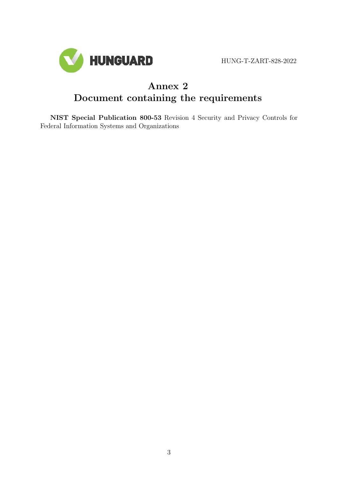

HUNG-T-ZART-828-2022

# Annex 2 Document containing the requirements

NIST Special Publication 800-53 Revision 4 Security and Privacy Controls for Federal Information Systems and Organizations